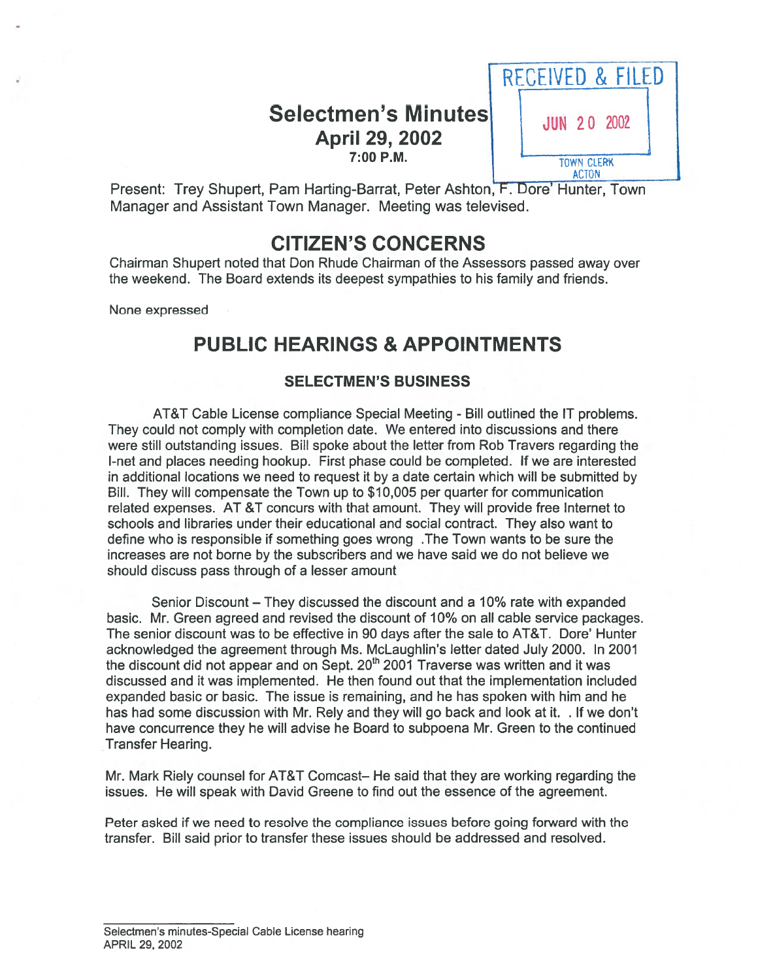## Selectmen's Minutes JUN 20 2002 April 29, 2002 7:00 P.M.



Present: Trey Shupert, Pam Harting-Barrat, Peter Ashton, F. Dore' Hunter, Town Manager and Assistant Town Manager. Meeting was televised.

# CITIZEN'S CONCERNS

Chairman Shupert noted that Don Rhude Chairman of the Assessors passed away over the weekend. The Board extends its deepest sympathies to his family and friends.

None expressed

# PUBLIC HEARINGS & APPOINTMENTS

### SELECTMEN'S BUSINESS

AT&T Cable License compliance Special Meeting - Bill outlined the IT problems. They could not comply with completion date. We entered into discussions and there were still outstanding issues. Bill spoke about the letter from Rob Travers regarding the I-net and places needing hookup. First phase could be completed. If we are interested in additional locations we need to reques<sup>t</sup> it by <sup>a</sup> date certain which will be submitted by Bill. They will compensate the Town up to \$10,005 per quarter for communication related expenses. AT &T concurs with that amount. They will provide free Internet to schools and libraries under their educational and social contract. They also want to define who is responsible if something goes wrong .The Town wants to be sure the increases are not borne by the subscribers and we have said we do not believe we should discuss pass through of <sup>a</sup> lesser amount

Senior Discount — They discussed the discount and <sup>a</sup> 10% rate with expanded basic. Mr. Green agreed and revised the discount of 10% on all cable service packages. The senior discount was to be effective in 90 days after the sale to AT&T. Dore' Hunter acknowledged the agreemen<sup>t</sup> through Ms. McLaughlin's letter dated July 2000. In 2001 the discount did not appear and on Sept.  $20<sup>th</sup>$  2001 Traverse was written and it was discussed and it was implemented. He then found out that the implementation included expanded basic or basic. The issue is remaining, and he has spoken with him and he has had some discussion with Mr. Rely and they will go back and look at it. . If we don't have concurrence they he will advise he Board to subpoena Mr. Green to the continued Transfer Hearing.

Mr. Mark Riely counsel for AT&T Comcast— He said that they are working regarding the issues. He will speak with David Greene to find out the essence of the agreement.

Peter asked if we need to resolve the compliance issues before going forward with the transfer. Bill said prior to transfer these issues should be addressed and resolved.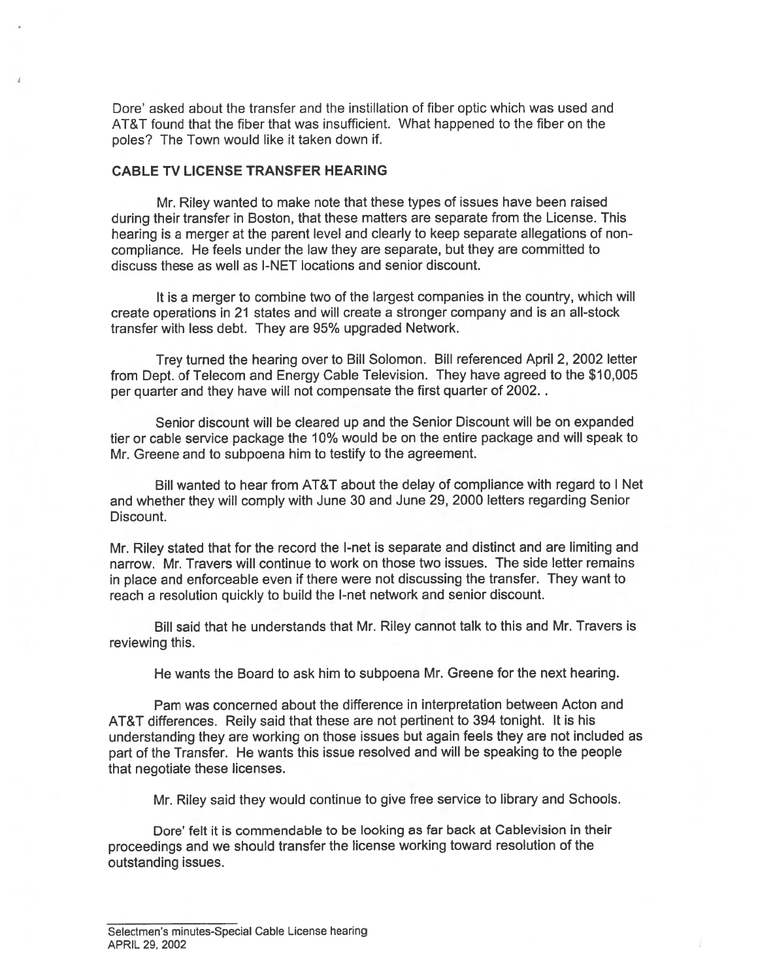Dore' asked about the transfer and the instillation of fiber optic which was used and AT&T found that the fiber that was insufficient. What happened to the fiber on the poles? The Town would like it taken down if.

### CABLE TV LICENSE TRANSFER HEARING

Mr. Riley wanted to make note that these types of issues have been raised during their transfer in Boston, that these matters are separate from the License. This hearing is <sup>a</sup> merger at the paren<sup>t</sup> level and clearly to keep separate allegations of non compliance. He feels under the law they are separate, but they are committed to discuss these as well as I-NET locations and senior discount.

It is <sup>a</sup> merger to combine two of the largest companies in the country, which will create operations in 21 states and will create <sup>a</sup> stronger company and is an all-stock transfer with less debt. They are 95% upgraded Network.

Trey turned the hearing over to Bill Solomon. Bill referenced April 2, 2002 letter from Dept. of Telecom and Energy Cable Television. They have agreed to the \$10,005 per quarter and they have will not compensate the first quarter of 2002.

Senior discount will be cleared up and the Senior Discount will be on expanded tier or cable service package the 10% would be on the entire package and will speak to Mr. Greene and to subpoena him to testify to the agreement.

Bill wanted to hear from AT&T about the delay of compliance with regard to I Net and whether they will comply with June 30 and June 29, 2000 letters regarding Senior Discount.

Mr. Riley stated that for the record the I-net is separate and distinct and are limiting and narrow. Mr. Travers will continue to work on those two issues. The side letter remains in <sup>p</sup>lace and enforceable even if there were not discussing the transfer. They want to reach <sup>a</sup> resolution quickly to build the I-net network and senior discount.

Bill said that he understands that Mr. Riley cannot talk to this and Mr. Travers is reviewing this.

He wants the Board to ask him to subpoena Mr. Greene for the next hearing.

Pam was concerned about the difference in interpretation between Acton and AT&T differences. Reily said that these are not pertinent to 394 tonight. It is his understanding they are working on those issues but again feels they are not included as par<sup>t</sup> of the Transfer. He wants this issue resolved and will be speaking to the people that negotiate these licenses.

Mr. Riley said they would continue to <sup>g</sup>ive free service to library and Schools.

Dore' felt it is commendable to be looking as far back at Cablevision in their proceedings and we should transfer the license working toward resolution of the outstanding issues.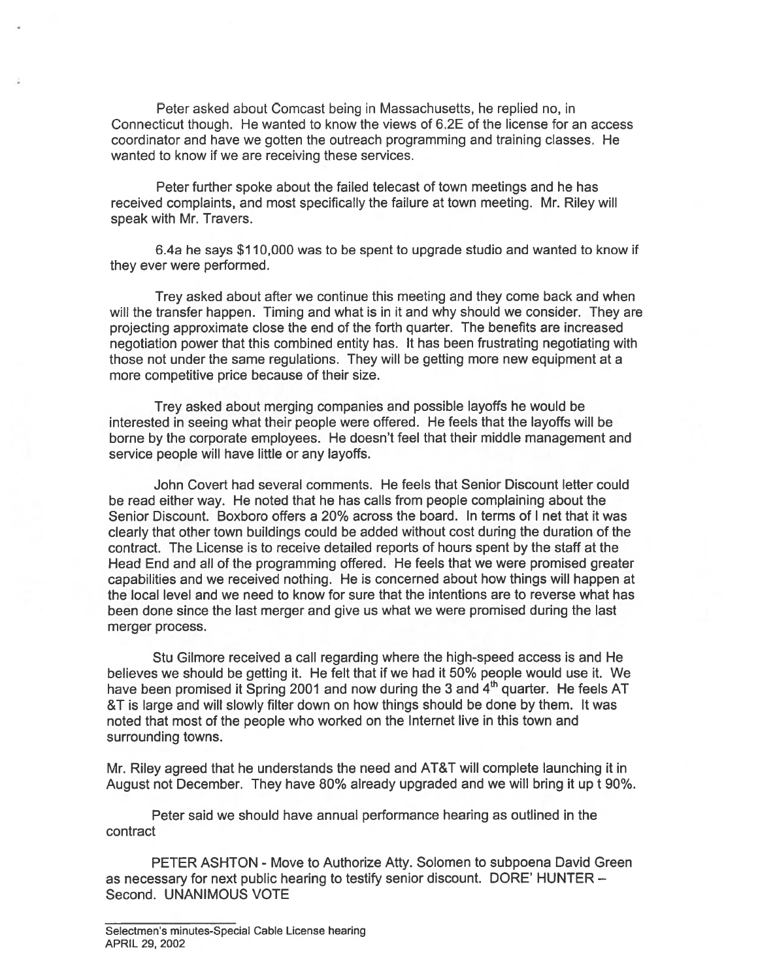Peter asked about Comcast being in Massachusetts, he replied no, in Connecticut though. He wanted to know the views of 6.2E of the license for an access coordinator and have we gotten the outreach programming and training classes. He wanted to know if we are receiving these services.

Peter further spoke about the failed telecast of town meetings and he has received complaints, and most specifically the failure at town meeting. Mr. Riley will speak with Mr. Travers.

6.4a he says \$110,000 was to be spen<sup>t</sup> to upgrade studio and wanted to know if they ever were performed.

Trey asked about after we continue this meeting and they come back and when will the transfer happen. Timing and what is in it and why should we consider. They are projecting approximate close the end of the forth quarter. The benefits are increased negotiation power that this combined entity has. It has been frustrating negotiating with those not under the same regulations. They will be getting more new equipment at <sup>a</sup> more competitive price because of their size.

Trey asked about merging companies and possible layoffs he would be interested in seeing what their people were offered. He feels that the layoffs will be borne by the corporate employees. He doesn't feel that their middle managemen<sup>t</sup> and service people will have little or any layoffs.

John Covert had several comments. He feels that Senior Discount letter could be read either way. He noted that he has calls from people complaining about the Senior Discount. Boxboro offers <sup>a</sup> 20% across the board. In terms of I net that it was clearly that other town buildings could be added without cost during the duration of the contract. The License is to receive detailed reports of hours spen<sup>t</sup> by the staff at the Head End and all of the programming offered. He feels that we were promised greater capabilities and we received nothing. He is concerned about how things will happen at the local level and we need to know for sure that the intentions are to reverse what has been done since the last merger and give us what we were promised during the last merger process.

Stu Gilmore received <sup>a</sup> call regarding where the high-speed access is and He believes we should be getting it. He felt that if we had it 50% people would use it. We have been promised it Spring 2001 and now during the 3 and 4<sup>th</sup> quarter. He feels AT &T is large and will slowly filter down on how things should be done by them. It was noted that most of the people who worked on the Internet live in this town and surrounding towns.

Mr. Riley agreed that he understands the need and AT&T will complete launching it in August not December. They have 80% already upgraded and we will bring it up <sup>t</sup> 90%.

Peter said we should have annual performance hearing as outlined in the contract

PETER ASHTON - Move to Authorize Atty. Solomen to subpoena David Green as necessary for next public hearing to testify senior discount. DORE' HUNTER — Second. UNANIMOUS VOTE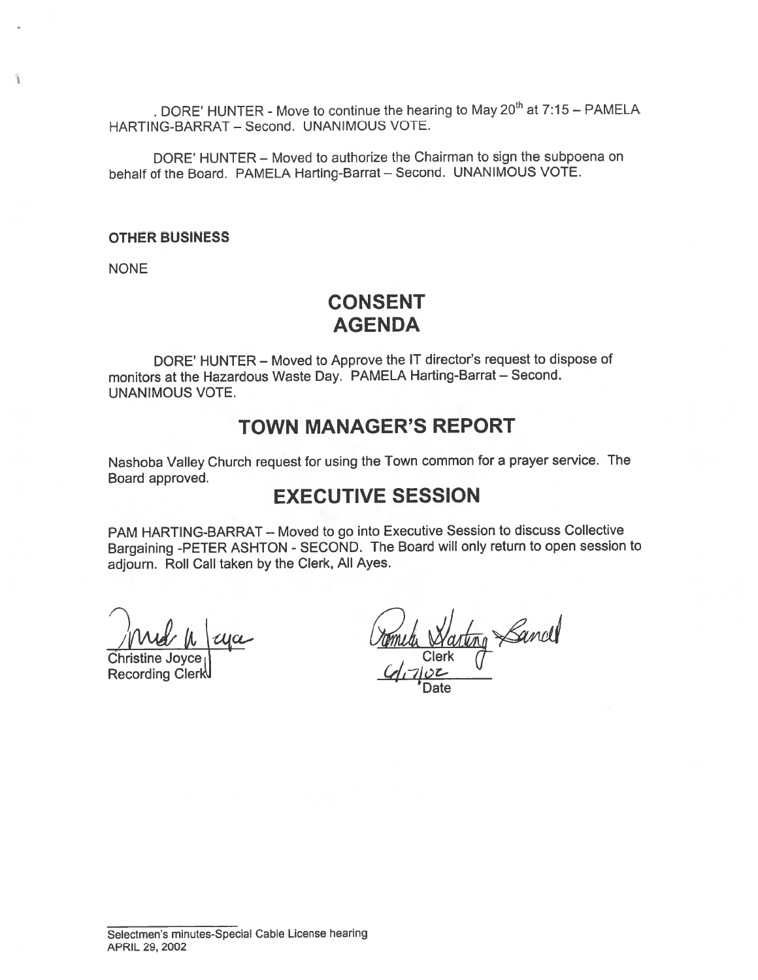. DORE' HUNTER - Move to continue the hearing to May  $20<sup>th</sup>$  at  $7:15$  - PAMELA HARTING-BARRAT — Second. UNANIMOUS VOTE.

DORE' HUNTER — Moved to authorize the Chairman to sign the subpoena on behalf of the Board. PAMELA Harting-Barrat — Second. UNANIMOUS VOTE.

#### OTHER BUSINESS

**NONE** 

ä

# CONSENT AGENDA

DORE' HUNTER — Moved to Approve the IT director's reques<sup>t</sup> to dispose of monitors at the Hazardous Waste Day. PAMELA Harting-Barrat — Second. UNANIMOUS VOTE.

## TOWN MANAGER'S REPORT

Nashoba Valley Church reques<sup>t</sup> for using the Town common for <sup>a</sup> prayer service. The Board approved.

## EXECUTIVE SESSION

PAM HARTING-BARRAT — Moved to go into Executive Session to discuss Collective Bargaining -PETER ASHTON - SECOND. The Board will only return to open session to adjourn. Roll Call taken by the Clerk, All Ayes.

Christine Joyce<sub>1</sub>) Clerk

Recording Clerk

ting Sancel Date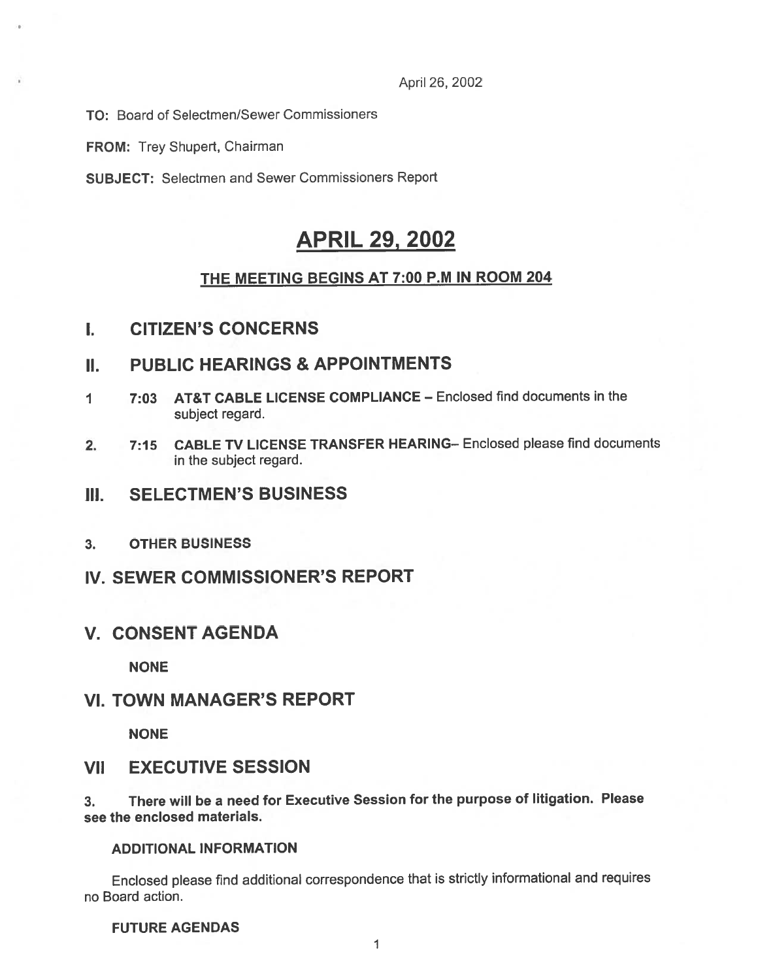April 26, 2002

TO: Board of Selectmen/Sewer Commissioners

FROM: Trey Shupert, Chairman

SUBJECT: Selectmen and Sewer Commissioners Report

# APRIL 29, 2002

### THE MEETING BEGINS AT 7:00 P.M IN ROOM 204

## I. CITIZEN'S CONCERNS

## II. PUBLIC HEARINGS & APPOINTMENTS

- 1 7:03 AT&T CABLE LICENSE COMPLIANCE Enclosed find documents in the subject regard.
- 2. 7:15 CABLE TV LICENSE TRANSFER HEARING— Enclosed please find documents in the subject regard.
- III. SELECTMEN'S BUSINESS
- 3. OTHER BUSINESS
- IV. SEWER COMMISSIONER'S REPORT
- V. CONSENT AGENDA

NONE

### VI. TOWN MANAGER'S REPORT

NONE

### VII EXECUTIVE SESSION

3. There will be <sup>a</sup> need for Executive Session for the purpose of litigation. Please see the enclosed materials.

### ADDITIONAL INFORMATION

Enclosed <sup>p</sup>lease find additional correspondence that is strictly informational and requires no Board action.

FUTURE AGENDAS